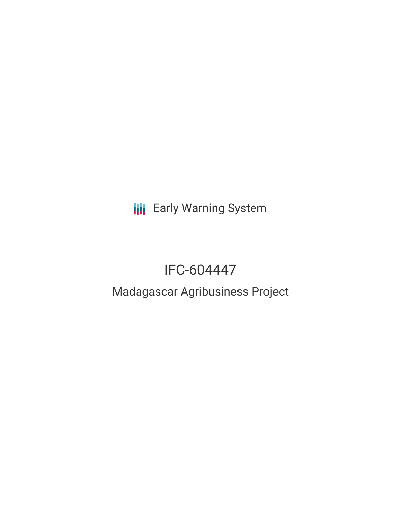**III** Early Warning System

## IFC-604447

# Madagascar Agribusiness Project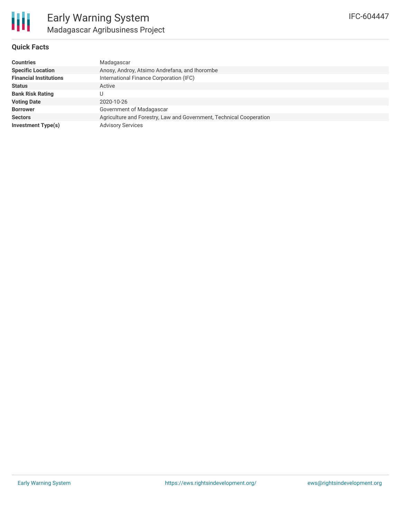#### **Quick Facts**

| <b>Countries</b>              | Madagascar                                                          |
|-------------------------------|---------------------------------------------------------------------|
| <b>Specific Location</b>      | Anosy, Androy, Atsimo Andrefana, and Ihorombe                       |
| <b>Financial Institutions</b> | International Finance Corporation (IFC)                             |
| <b>Status</b>                 | Active                                                              |
| <b>Bank Risk Rating</b>       | U                                                                   |
| <b>Voting Date</b>            | 2020-10-26                                                          |
| <b>Borrower</b>               | Government of Madagascar                                            |
| <b>Sectors</b>                | Agriculture and Forestry, Law and Government, Technical Cooperation |
| Investment Type(s)            | <b>Advisory Services</b>                                            |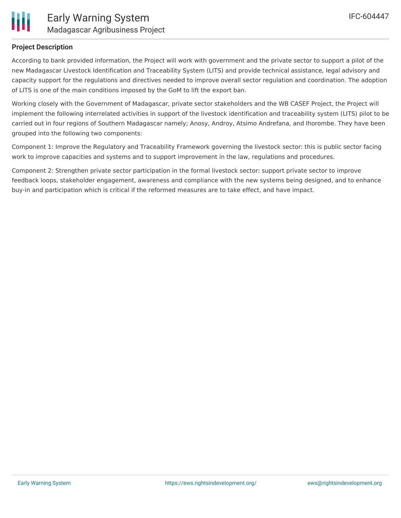

#### **Project Description**

According to bank provided information, the Project will work with government and the private sector to support a pilot of the new Madagascar Livestock Identification and Traceability System (LITS) and provide technical assistance, legal advisory and capacity support for the regulations and directives needed to improve overall sector regulation and coordination. The adoption of LITS is one of the main conditions imposed by the GoM to lift the export ban.

Working closely with the Government of Madagascar, private sector stakeholders and the WB CASEF Project, the Project will implement the following interrelated activities in support of the livestock identification and traceability system (LITS) pilot to be carried out in four regions of Southern Madagascar namely; Anosy, Androy, Atsimo Andrefana, and Ihorombe. They have been grouped into the following two components:

Component 1: Improve the Regulatory and Traceability Framework governing the livestock sector: this is public sector facing work to improve capacities and systems and to support improvement in the law, regulations and procedures.

Component 2: Strengthen private sector participation in the formal livestock sector: support private sector to improve feedback loops, stakeholder engagement, awareness and compliance with the new systems being designed, and to enhance buy-in and participation which is critical if the reformed measures are to take effect, and have impact.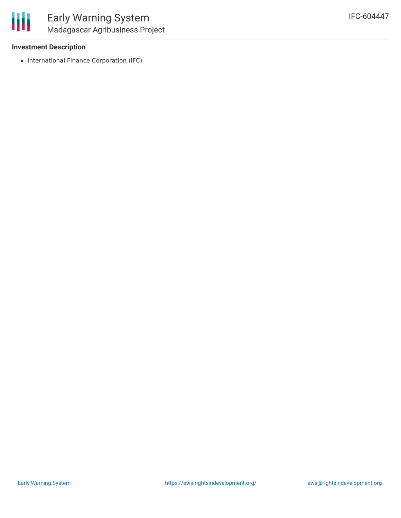

#### **Investment Description**

• International Finance Corporation (IFC)